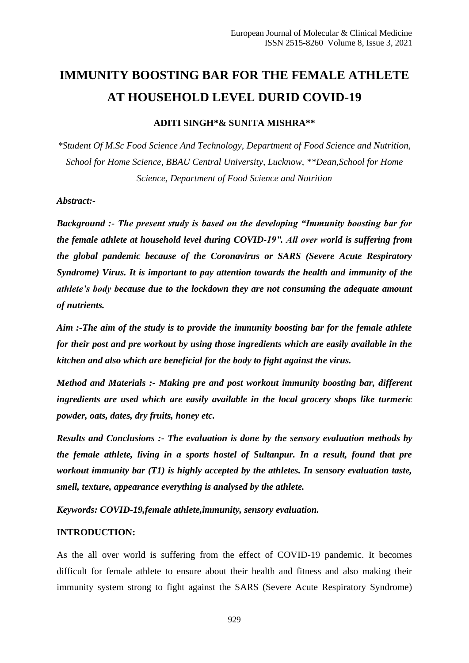# **IMMUNITY BOOSTING BAR FOR THE FEMALE ATHLETE AT HOUSEHOLD LEVEL DURID COVID-19**

**ADITI SINGH\*& SUNITA MISHRA\*\***

*\*Student Of M.Sc Food Science And Technology, Department of Food Science and Nutrition, School for Home Science, BBAU Central University, Lucknow, \*\*Dean,School for Home Science, Department of Food Science and Nutrition*

#### *Abstract:-*

*Background :- The present study is based on the developing "Immunity boosting bar for the female athlete at household level during COVID-19". All over world is suffering from the global pandemic because of the Coronavirus or SARS (Severe Acute Respiratory Syndrome) Virus. It is important to pay attention towards the health and immunity of the athlete's body because due to the lockdown they are not consuming the adequate amount of nutrients.* 

*Aim :-The aim of the study is to provide the immunity boosting bar for the female athlete for their post and pre workout by using those ingredients which are easily available in the kitchen and also which are beneficial for the body to fight against the virus.*

*Method and Materials :- Making pre and post workout immunity boosting bar, different ingredients are used which are easily available in the local grocery shops like turmeric powder, oats, dates, dry fruits, honey etc.*

*Results and Conclusions :- The evaluation is done by the sensory evaluation methods by the female athlete, living in a sports hostel of Sultanpur. In a result, found that pre workout immunity bar (T1) is highly accepted by the athletes. In sensory evaluation taste, smell, texture, appearance everything is analysed by the athlete.*

*Keywords: COVID-19,female athlete,immunity, sensory evaluation.*

#### **INTRODUCTION:**

As the all over world is suffering from the effect of COVID-19 pandemic. It becomes difficult for female athlete to ensure about their health and fitness and also making their immunity system strong to fight against the SARS (Severe Acute Respiratory Syndrome)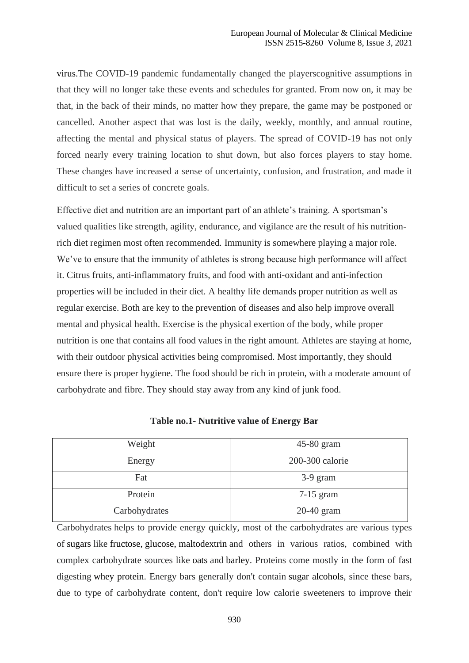virus.The COVID-19 pandemic fundamentally changed the playerscognitive assumptions in that they will no longer take these events and schedules for granted. From now on, it may be that, in the back of their minds, no matter how they prepare, the game may be postponed or cancelled. Another aspect that was lost is the daily, weekly, monthly, and annual routine, affecting the mental and physical status of players. The spread of COVID-19 has not only forced nearly every training location to shut down, but also forces players to stay home. These changes have increased a sense of uncertainty, confusion, and frustration, and made it difficult to set a series of concrete goals.

Effective diet and nutrition are an important part of an athlete's training. A sportsman's valued qualities like strength, agility, endurance, and vigilance are the result of his nutritionrich diet regimen most often recommended*.* Immunity is somewhere playing a major role. We've to ensure that the immunity of athletes is strong because high performance will affect it. Citrus fruits, anti-inflammatory fruits, and food with anti-oxidant and anti-infection properties will be included in their diet*.* A healthy life demands proper nutrition as well as regular exercise. Both are key to the prevention of diseases and also help improve overall mental and physical health. Exercise is the physical exertion of the body, while proper nutrition is one that contains all food values in the right amount. Athletes are staying at home, with their outdoor physical activities being compromised. Most importantly, they should ensure there is proper hygiene. The food should be rich in protein, with a moderate amount of carbohydrate and fibre. They should stay away from any kind of junk food.

| Weight        | $45-80$ gram    |
|---------------|-----------------|
| Energy        | 200-300 calorie |
| Fat           | $3-9$ gram      |
| Protein       | $7-15$ gram     |
| Carbohydrates | $20-40$ gram    |

**Table no.1- Nutritive value of Energy Bar**

Carbohydrates helps to provide energy quickly, most of the carbohydrates are various types of [sugars](https://en.wikipedia.org/wiki/Sugar) like [fructose,](https://en.wikipedia.org/wiki/Fructose) [glucose,](https://en.wikipedia.org/wiki/Glucose) [maltodextrin](https://en.wikipedia.org/wiki/Maltodextrin) and others in various ratios, combined with complex carbohydrate sources like [oats](https://en.wikipedia.org/wiki/Oat) and [barley.](https://en.wikipedia.org/wiki/Barley) Proteins come mostly in the form of fast digesting [whey protein.](https://en.wikipedia.org/wiki/Whey_protein) Energy bars generally don't contain [sugar alcohols,](https://en.wikipedia.org/wiki/Sugar_alcohol) since these bars, due to type of carbohydrate content, don't require low calorie sweeteners to improve their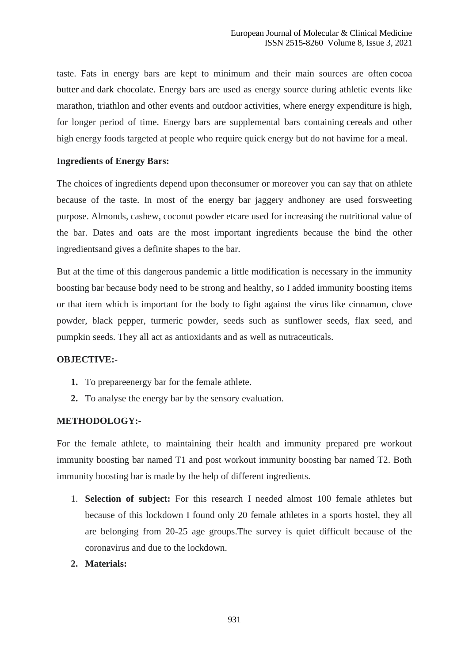taste. Fats in energy bars are kept to minimum and their main sources are often [cocoa](https://en.wikipedia.org/wiki/Cocoa_butter)  [butter](https://en.wikipedia.org/wiki/Cocoa_butter) and [dark chocolate.](https://en.wikipedia.org/wiki/Types_of_chocolate#Dark_chocolate) Energy bars are used as energy source during athletic events like marathon, triathlon and other events and outdoor activities, where energy expenditure is high, for longer period of time. Energy bars are supplemental bars containing [cereals](https://en.wikipedia.org/wiki/Cereal) and other high energy foods targeted at people who require quick energy but do not havime for a [meal](https://en.wikipedia.org/wiki/Meal).

#### **Ingredients of Energy Bars:**

The choices of ingredients depend upon theconsumer or moreover you can say that on athlete because of the taste. In most of the energy bar jaggery andhoney are used forsweeting purpose. Almonds, cashew, coconut powder etcare used for increasing the nutritional value of the bar. Dates and oats are the most important ingredients because the bind the other ingredientsand gives a definite shapes to the bar.

But at the time of this dangerous pandemic a little modification is necessary in the immunity boosting bar because body need to be strong and healthy, so I added immunity boosting items or that item which is important for the body to fight against the virus like cinnamon, clove powder, black pepper, turmeric powder, seeds such as sunflower seeds, flax seed, and pumpkin seeds. They all act as antioxidants and as well as nutraceuticals.

#### **OBJECTIVE:-**

- **1.** To prepareenergy bar for the female athlete.
- **2.** To analyse the energy bar by the sensory evaluation.

#### **METHODOLOGY:-**

For the female athlete, to maintaining their health and immunity prepared pre workout immunity boosting bar named T1 and post workout immunity boosting bar named T2. Both immunity boosting bar is made by the help of different ingredients.

- 1. **Selection of subject:** For this research I needed almost 100 female athletes but because of this lockdown I found only 20 female athletes in a sports hostel, they all are belonging from 20-25 age groups.The survey is quiet difficult because of the coronavirus and due to the lockdown.
- **2. Materials:**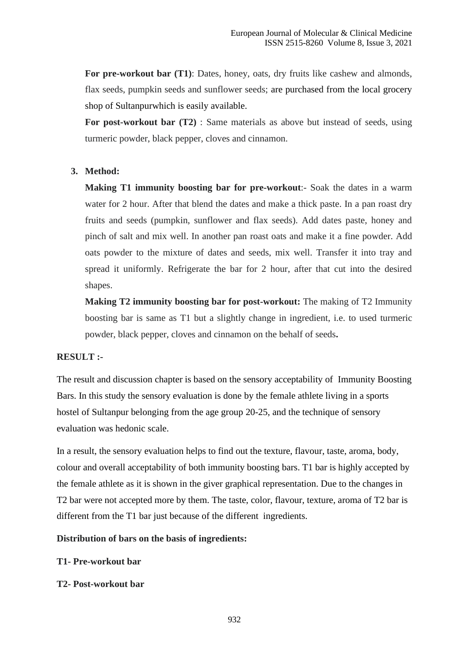**For pre-workout bar (T1)**: Dates, honey, oats, dry fruits like cashew and almonds, flax seeds, pumpkin seeds and sunflower seeds; are purchased from the local grocery shop of Sultanpurwhich is easily available.

**For post-workout bar (T2)** : Same materials as above but instead of seeds, using turmeric powder, black pepper, cloves and cinnamon.

## **3. Method:**

**Making T1 immunity boosting bar for pre-workout**:- Soak the dates in a warm water for 2 hour. After that blend the dates and make a thick paste. In a pan roast dry fruits and seeds (pumpkin, sunflower and flax seeds). Add dates paste, honey and pinch of salt and mix well. In another pan roast oats and make it a fine powder. Add oats powder to the mixture of dates and seeds, mix well. Transfer it into tray and spread it uniformly. Refrigerate the bar for 2 hour, after that cut into the desired shapes.

**Making T2 immunity boosting bar for post-workout:** The making of T2 Immunity boosting bar is same as T1 but a slightly change in ingredient, i.e. to used turmeric powder, black pepper, cloves and cinnamon on the behalf of seeds**.**

#### **RESULT :-**

The result and discussion chapter is based on the sensory acceptability of Immunity Boosting Bars. In this study the sensory evaluation is done by the female athlete living in a sports hostel of Sultanpur belonging from the age group 20-25, and the technique of sensory evaluation was hedonic scale.

In a result, the sensory evaluation helps to find out the texture, flavour, taste, aroma, body, colour and overall acceptability of both immunity boosting bars. T1 bar is highly accepted by the female athlete as it is shown in the giver graphical representation. Due to the changes in T2 bar were not accepted more by them. The taste, color, flavour, texture, aroma of T2 bar is different from the T1 bar just because of the different ingredients.

**Distribution of bars on the basis of ingredients:**

#### **T1- Pre-workout bar**

**T2- Post-workout bar**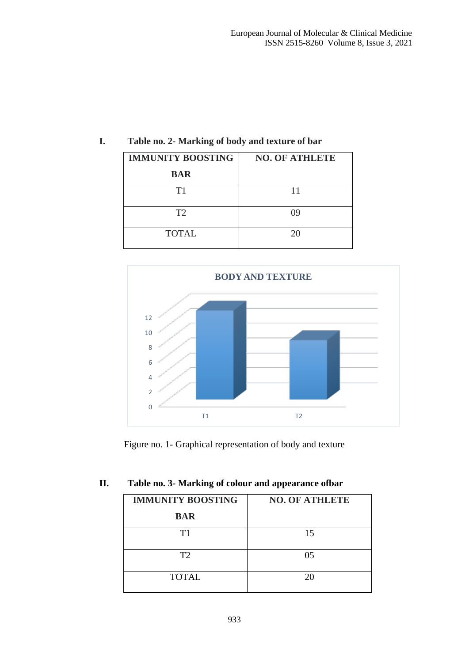| <b>IMMUNITY BOOSTING</b> | <b>NO. OF ATHLETE</b> |
|--------------------------|-----------------------|
| <b>BAR</b>               |                       |
| T1                       | 11                    |
| T2                       | 09                    |
| <b>TOTAL</b>             | 20                    |

# **I. Table no. 2- Marking of body and texture of bar**



Figure no. 1- Graphical representation of body and texture

# **II. Table no. 3- Marking of colour and appearance ofbar**

| <b>IMMUNITY BOOSTING</b> | <b>NO. OF ATHLETE</b> |
|--------------------------|-----------------------|
| <b>BAR</b>               |                       |
| T1                       | 15                    |
| T <sub>2</sub>           | 05                    |
| <b>TOTAL</b>             | 20                    |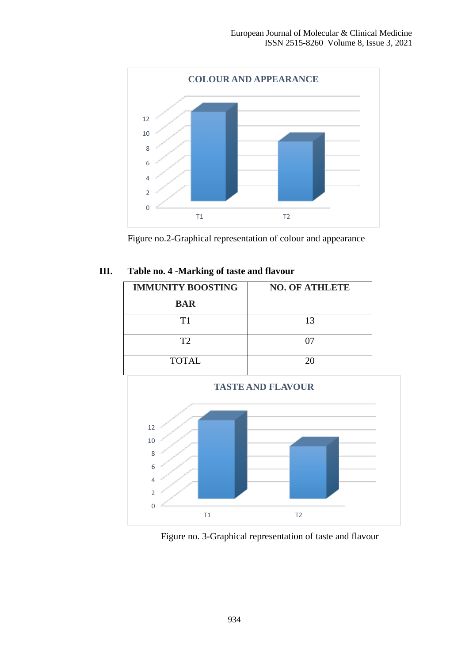



## **III. Table no. 4 -Marking of taste and flavour**

| <b>NO. OF ATHLETE</b> |
|-----------------------|
|                       |
| 13                    |
| 07                    |
| 20                    |
|                       |



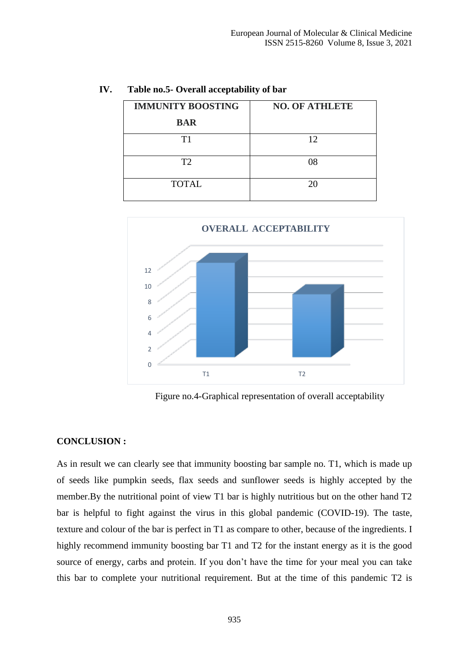| <b>IMMUNITY BOOSTING</b> | <b>NO. OF ATHLETE</b> |
|--------------------------|-----------------------|
| <b>BAR</b>               |                       |
| T1                       | 12                    |
| T <sub>2</sub>           | 08                    |
| <b>TOTAL</b>             | 20                    |

#### **IV. Table no.5- Overall acceptability of bar**



Figure no.4-Graphical representation of overall acceptability

#### **CONCLUSION :**

As in result we can clearly see that immunity boosting bar sample no. T1, which is made up of seeds like pumpkin seeds, flax seeds and sunflower seeds is highly accepted by the member.By the nutritional point of view T1 bar is highly nutritious but on the other hand T2 bar is helpful to fight against the virus in this global pandemic (COVID-19). The taste, texture and colour of the bar is perfect in T1 as compare to other, because of the ingredients. I highly recommend immunity boosting bar T1 and T2 for the instant energy as it is the good source of energy, carbs and protein. If you don't have the time for your meal you can take this bar to complete your nutritional requirement. But at the time of this pandemic T2 is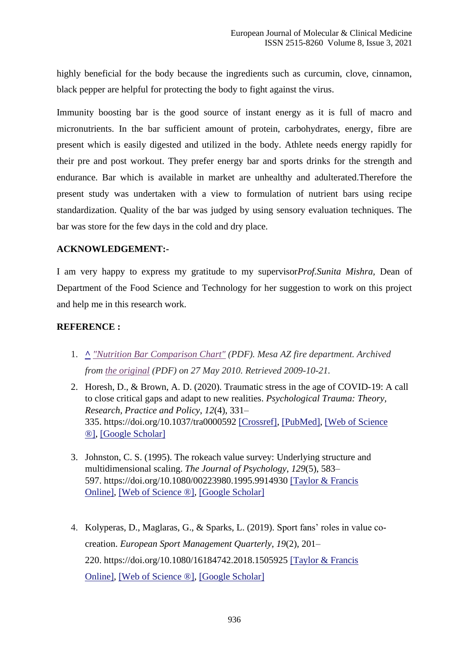highly beneficial for the body because the ingredients such as curcumin, clove, cinnamon, black pepper are helpful for protecting the body to fight against the virus.

Immunity boosting bar is the good source of instant energy as it is full of macro and micronutrients. In the bar sufficient amount of protein, carbohydrates, energy, fibre are present which is easily digested and utilized in the body. Athlete needs energy rapidly for their pre and post workout. They prefer energy bar and sports drinks for the strength and endurance. Bar which is available in market are unhealthy and adulterated.Therefore the present study was undertaken with a view to formulation of nutrient bars using recipe standardization. Quality of the bar was judged by using sensory evaluation techniques. The bar was store for the few days in the cold and dry place.

### **ACKNOWLEDGEMENT:-**

I am very happy to express my gratitude to my supervisor*Prof.Sunita Mishra,* Dean of Department of the Food Science and Technology for her suggestion to work on this project and help me in this research work.

## **REFERENCE :**

- 1. **[^](https://en.wikipedia.org/wiki/Energy_bar#cite_ref-1)** *["Nutrition Bar Comparison Chart"](https://web.archive.org/web/20100527180845/http:/www.mesaaz.gov/fire/wellness/pdf/NutritionBarComparisonChart.pdf) (PDF). Mesa AZ fire department. Archived from [the original](http://www.mesaaz.gov/fire/wellness/pdf/nutritionbarcomparisonchart.pdf) (PDF) on 27 May 2010. Retrieved 2009-10-21.*
- 2. Horesh, D., & Brown, A. D. (2020). Traumatic stress in the age of COVID-19: A call to close critical gaps and adapt to new realities. *Psychological Trauma: Theory, Research, Practice and Policy*, *12*(4), 331– 335. https://doi.org/10.1037/tra0000592 [\[Crossref\],](https://www.tandfonline.com/servlet/linkout?suffix=CIT0001&dbid=16&doi=10.1080%2F15325024.2020.1777762&key=10.1037%2Ftra0000592) [\[PubMed\],](https://www.tandfonline.com/servlet/linkout?suffix=CIT0001&dbid=8&doi=10.1080%2F15325024.2020.1777762&key=32271070) [\[Web of Science](https://www.tandfonline.com/servlet/linkout?suffix=CIT0001&dbid=128&doi=10.1080%2F15325024.2020.1777762&key=000525399500001)  [®\],](https://www.tandfonline.com/servlet/linkout?suffix=CIT0001&dbid=128&doi=10.1080%2F15325024.2020.1777762&key=000525399500001) [\[Google Scholar\]](http://scholar.google.com/scholar_lookup?hl=en&publication_year=2020&pages=331-335&issue=4&author=D.+Horesh&author=A.+D.+Brown&title=Traumatic+stress+in+the+age+of+COVID-19%3A+A+call+to+close+critical+gaps+and+adapt+to+new+realities)
- 3. Johnston, C. S. (1995). The rokeach value survey: Underlying structure and multidimensional scaling. *The Journal of Psychology*, *129*(5), 583– 597. https://doi.org/10.1080/00223980.1995.9914930 [\[Taylor & Francis](https://www.tandfonline.com/doi/10.1080/00223980.1995.9914930)  [Online\],](https://www.tandfonline.com/doi/10.1080/00223980.1995.9914930) [\[Web of Science ®\],](https://www.tandfonline.com/servlet/linkout?suffix=CIT0002&dbid=128&doi=10.1080%2F15325024.2020.1777762&key=A1995TA75200010) [\[Google Scholar\]](http://scholar.google.com/scholar_lookup?hl=en&publication_year=1995&pages=583-597&issue=5&author=C.+S.+Johnston&title=The+rokeach+value+survey%3A+Underlying+structure+and+multidimensional+scaling)
- 4. Kolyperas, D., Maglaras, G., & Sparks, L. (2019). Sport fans' roles in value cocreation. *European Sport Management Quarterly*, *19*(2), 201– 220. https://doi.org/10.1080/16184742.2018.1505925 [\[Taylor & Francis](https://www.tandfonline.com/doi/10.1080/16184742.2018.1505925)  [Online\],](https://www.tandfonline.com/doi/10.1080/16184742.2018.1505925) [\[Web of Science ®\],](https://www.tandfonline.com/servlet/linkout?suffix=CIT0003&dbid=128&doi=10.1080%2F15325024.2020.1777762&key=000461173800004) [\[Google Scholar\]](http://scholar.google.com/scholar_lookup?hl=en&publication_year=2019&pages=201-220&issue=2&author=D.+Kolyperas&author=G.+Maglaras&author=L.+Sparks&title=Sport+fans%E2%80%99+roles+in+value+co-creation)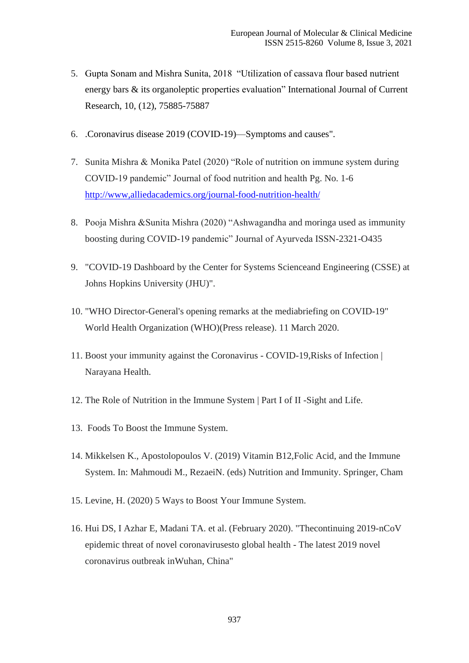- 5. Gupta Sonam and Mishra Sunita, 2018 "Utilization of cassava flour based nutrient energy bars & its organoleptic properties evaluation" International Journal of Current Research, 10, (12), 75885-75887
- 6. .Coronavirus disease 2019 (COVID-19)—Symptoms and causes".
- 7. Sunita Mishra & Monika Patel (2020) "Role of nutrition on immune system during COVID-19 pandemic" Journal of food nutrition and health Pg. No. 1-6 <http://www,alliedacademics.org/journal-food-nutrition-health/>
- 8. Pooja Mishra &Sunita Mishra (2020) "Ashwagandha and moringa used as immunity boosting during COVID-19 pandemic" Journal of Ayurveda ISSN-2321-O435
- 9. "COVID-19 Dashboard by the Center for Systems Scienceand Engineering (CSSE) at Johns Hopkins University (JHU)".
- 10. "WHO Director-General's opening remarks at the mediabriefing on COVID-19" World Health Organization (WHO)(Press release). 11 March 2020.
- 11. Boost your immunity against the Coronavirus COVID-19,Risks of Infection | Narayana Health.
- 12. The Role of Nutrition in the Immune System | Part I of II -Sight and Life.
- 13. Foods To Boost the Immune System.
- 14. Mikkelsen K., Apostolopoulos V. (2019) Vitamin B12,Folic Acid, and the Immune System. In: Mahmoudi M., RezaeiN. (eds) Nutrition and Immunity. Springer, Cham
- 15. Levine, H. (2020) 5 Ways to Boost Your Immune System.
- 16. Hui DS, I Azhar E, Madani TA. et al. (February 2020). "Thecontinuing 2019-nCoV epidemic threat of novel coronavirusesto global health - The latest 2019 novel coronavirus outbreak inWuhan, China"